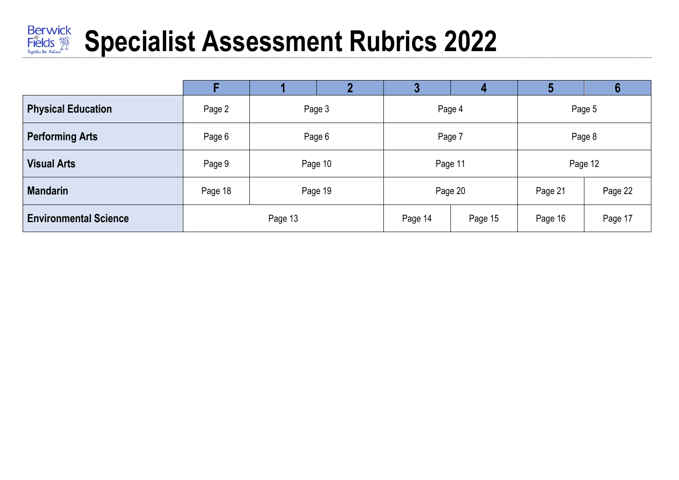# **Specialist Assessment Rubrics 2022**

|                              |         |         |         |                    | 4       | 5       | О       |
|------------------------------|---------|---------|---------|--------------------|---------|---------|---------|
| <b>Physical Education</b>    | Page 2  |         | Page 3  | Page 4             |         | Page 5  |         |
| <b>Performing Arts</b>       | Page 6  |         | Page 6  | Page 7             |         | Page 8  |         |
| <b>Visual Arts</b>           | Page 9  |         | Page 10 |                    | Page 11 | Page 12 |         |
| <b>Mandarin</b>              | Page 18 |         | Page 19 | Page 20            |         | Page 21 | Page 22 |
| <b>Environmental Science</b> |         | Page 13 |         | Page 14<br>Page 15 |         | Page 16 | Page 17 |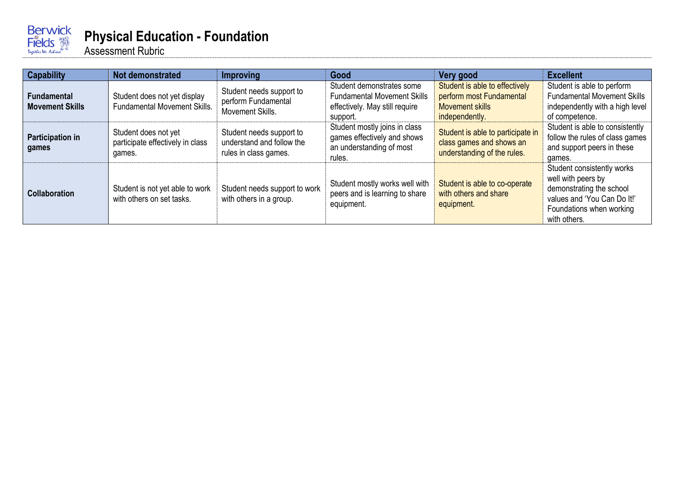

#### **Physical Education - Foundation**

| <b>Capability</b>                     | Not demonstrated                                                    | Improving                                                                      | Good                                                                                                          | Very good                                                                                              | <b>Excellent</b>                                                                                                                                        |
|---------------------------------------|---------------------------------------------------------------------|--------------------------------------------------------------------------------|---------------------------------------------------------------------------------------------------------------|--------------------------------------------------------------------------------------------------------|---------------------------------------------------------------------------------------------------------------------------------------------------------|
| Fundamental<br><b>Movement Skills</b> | Student does not yet display<br><b>Fundamental Movement Skills.</b> | Student needs support to<br>perform Fundamental<br>Movement Skills.            | Student demonstrates some<br><b>Fundamental Movement Skills</b><br>effectively. May still require<br>support. | Student is able to effectively<br>perform most Fundamental<br><b>Movement skills</b><br>independently. | Student is able to perform<br><b>Fundamental Movement Skills</b><br>independently with a high level<br>of competence.                                   |
| Participation in<br>games             | Student does not yet<br>participate effectively in class<br>games.  | Student needs support to<br>understand and follow the<br>rules in class games. | Student mostly joins in class<br>games effectively and shows<br>an understanding of most<br>rules.            | Student is able to participate in<br>class games and shows an<br>understanding of the rules.           | Student is able to consistently<br>follow the rules of class games<br>and support peers in these<br>games.                                              |
| <b>Collaboration</b>                  | Student is not yet able to work<br>with others on set tasks.        | Student needs support to work<br>with others in a group.                       | Student mostly works well with<br>peers and is learning to share<br>equipment.                                | Student is able to co-operate<br>with others and share<br>equipment.                                   | Student consistently works<br>well with peers by<br>demonstrating the school<br>values and 'You Can Do It!'<br>Foundations when working<br>with others. |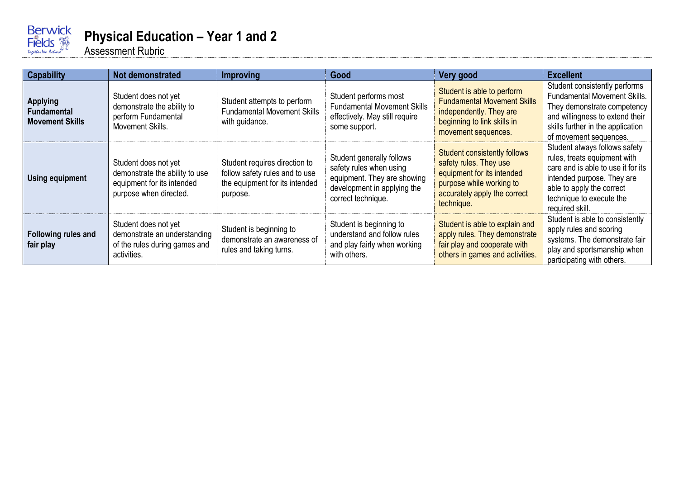

#### **Physical Education – Year 1 and 2**

| <b>Capability</b>                                               | Not demonstrated                                                                                               | <b>Improving</b>                                                                                              | Good                                                                                                                                     | Very good                                                                                                                                                             | <b>Excellent</b>                                                                                                                                                                                              |
|-----------------------------------------------------------------|----------------------------------------------------------------------------------------------------------------|---------------------------------------------------------------------------------------------------------------|------------------------------------------------------------------------------------------------------------------------------------------|-----------------------------------------------------------------------------------------------------------------------------------------------------------------------|---------------------------------------------------------------------------------------------------------------------------------------------------------------------------------------------------------------|
| <b>Applying</b><br><b>Fundamental</b><br><b>Movement Skills</b> | Student does not yet<br>demonstrate the ability to<br>perform Fundamental<br>Movement Skills.                  | Student attempts to perform<br><b>Fundamental Movement Skills</b><br>with guidance.                           | Student performs most<br><b>Fundamental Movement Skills</b><br>effectively. May still require<br>some support.                           | Student is able to perform<br><b>Fundamental Movement Skills</b><br>independently. They are<br>beginning to link skills in<br>movement sequences.                     | Student consistently performs<br><b>Fundamental Movement Skills.</b><br>They demonstrate competency<br>and willingness to extend their<br>skills further in the application<br>of movement sequences.         |
| Using equipment                                                 | Student does not yet<br>demonstrate the ability to use<br>equipment for its intended<br>purpose when directed. | Student requires direction to<br>follow safety rules and to use<br>the equipment for its intended<br>purpose. | Student generally follows<br>safety rules when using<br>equipment. They are showing<br>development in applying the<br>correct technique. | <b>Student consistently follows</b><br>safety rules. They use<br>equipment for its intended<br>purpose while working to<br>accurately apply the correct<br>technique. | Student always follows safety<br>rules, treats equipment with<br>care and is able to use it for its<br>intended purpose. They are<br>able to apply the correct<br>technique to execute the<br>required skill. |
| Following rules and<br>fair play                                | Student does not yet<br>demonstrate an understanding<br>of the rules during games and<br>activities.           | Student is beginning to<br>demonstrate an awareness of<br>rules and taking turns.                             | Student is beginning to<br>understand and follow rules<br>and play fairly when working<br>with others.                                   | Student is able to explain and<br>apply rules. They demonstrate<br>fair play and cooperate with<br>others in games and activities.                                    | Student is able to consistently<br>apply rules and scoring<br>systems. The demonstrate fair<br>play and sportsmanship when<br>participating with others.                                                      |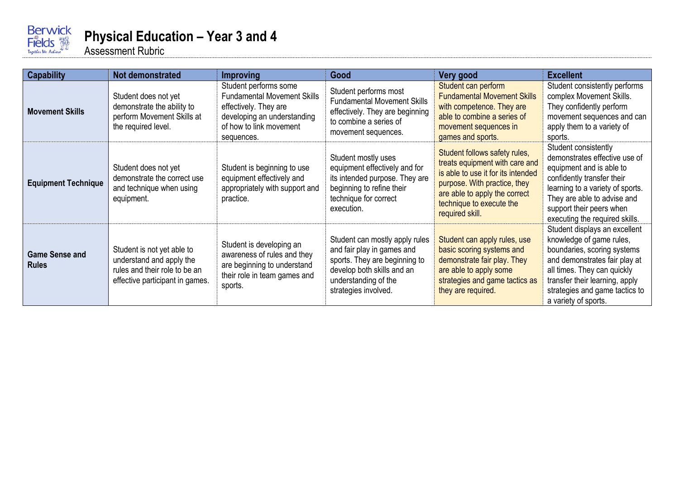

#### **Physical Education – Year 3 and 4**

| <b>Capability</b>                     | Not demonstrated                                                                                                           | <b>Improving</b>                                                                                                                                             | Good                                                                                                                                                                        | Very good                                                                                                                                                                                                             | <b>Excellent</b>                                                                                                                                                                                                                                     |
|---------------------------------------|----------------------------------------------------------------------------------------------------------------------------|--------------------------------------------------------------------------------------------------------------------------------------------------------------|-----------------------------------------------------------------------------------------------------------------------------------------------------------------------------|-----------------------------------------------------------------------------------------------------------------------------------------------------------------------------------------------------------------------|------------------------------------------------------------------------------------------------------------------------------------------------------------------------------------------------------------------------------------------------------|
| <b>Movement Skills</b>                | Student does not yet<br>demonstrate the ability to<br>perform Movement Skills at<br>the required level.                    | Student performs some<br><b>Fundamental Movement Skills</b><br>effectively. They are<br>developing an understanding<br>of how to link movement<br>sequences. | Student performs most<br><b>Fundamental Movement Skills</b><br>effectively. They are beginning<br>to combine a series of<br>movement sequences.                             | Student can perform<br><b>Fundamental Movement Skills</b><br>with competence. They are<br>able to combine a series of<br>movement sequences in<br>games and sports.                                                   | Student consistently performs<br>complex Movement Skills.<br>They confidently perform<br>movement sequences and can<br>apply them to a variety of<br>sports.                                                                                         |
| <b>Equipment Technique</b>            | Student does not yet<br>demonstrate the correct use<br>and technique when using<br>equipment.                              | Student is beginning to use<br>equipment effectively and<br>appropriately with support and<br>practice.                                                      | Student mostly uses<br>equipment effectively and for<br>its intended purpose. They are<br>beginning to refine their<br>technique for correct<br>execution.                  | Student follows safety rules,<br>treats equipment with care and<br>is able to use it for its intended<br>purpose. With practice, they<br>are able to apply the correct<br>technique to execute the<br>required skill. | Student consistently<br>demonstrates effective use of<br>equipment and is able to<br>confidently transfer their<br>learning to a variety of sports.<br>They are able to advise and<br>support their peers when<br>executing the required skills.     |
| <b>Game Sense and</b><br><b>Rules</b> | Student is not yet able to<br>understand and apply the<br>rules and their role to be an<br>effective participant in games. | Student is developing an<br>awareness of rules and they<br>are beginning to understand<br>their role in team games and<br>sports.                            | Student can mostly apply rules<br>and fair play in games and<br>sports. They are beginning to<br>develop both skills and an<br>understanding of the<br>strategies involved. | Student can apply rules, use<br>basic scoring systems and<br>demonstrate fair play. They<br>are able to apply some<br>strategies and game tactics as<br>they are required.                                            | Student displays an excellent<br>knowledge of game rules,<br>boundaries, scoring systems<br>and demonstrates fair play at<br>all times. They can quickly<br>transfer their learning, apply<br>strategies and game tactics to<br>a variety of sports. |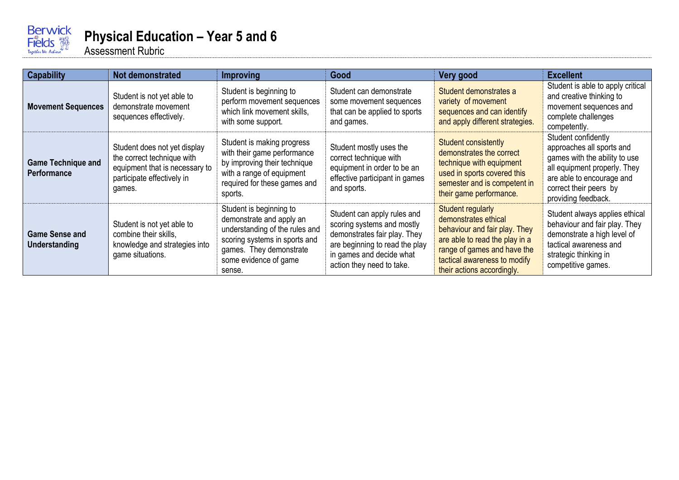

#### **Physical Education – Year 5 and 6**

| <b>Capability</b>                               | Not demonstrated                                                                                                                     | <b>Improving</b>                                                                                                                                                                     | Good                                                                                                                                                                                 | Very good                                                                                                                                                                                                 | <b>Excellent</b>                                                                                                                                                                                |
|-------------------------------------------------|--------------------------------------------------------------------------------------------------------------------------------------|--------------------------------------------------------------------------------------------------------------------------------------------------------------------------------------|--------------------------------------------------------------------------------------------------------------------------------------------------------------------------------------|-----------------------------------------------------------------------------------------------------------------------------------------------------------------------------------------------------------|-------------------------------------------------------------------------------------------------------------------------------------------------------------------------------------------------|
| <b>Movement Sequences</b>                       | Student is not yet able to<br>demonstrate movement<br>sequences effectively.                                                         | Student is beginning to<br>perform movement sequences<br>which link movement skills.<br>with some support.                                                                           | Student can demonstrate<br>some movement sequences<br>that can be applied to sports<br>and games.                                                                                    | Student demonstrates a<br>variety of movement<br>sequences and can identify<br>and apply different strategies.                                                                                            | Student is able to apply critical<br>and creative thinking to<br>movement sequences and<br>complete challenges<br>competently.                                                                  |
| <b>Game Technique and</b><br><b>Performance</b> | Student does not yet display<br>the correct technique with<br>equipment that is necessary to<br>participate effectively in<br>games. | Student is making progress<br>with their game performance<br>by improving their technique<br>with a range of equipment<br>required for these games and<br>sports.                    | Student mostly uses the<br>correct technique with<br>equipment in order to be an<br>effective participant in games<br>and sports.                                                    | Student consistently<br>demonstrates the correct<br>technique with equipment<br>used in sports covered this<br>semester and is competent in<br>their game performance.                                    | Student confidently<br>approaches all sports and<br>games with the ability to use<br>all equipment properly. They<br>are able to encourage and<br>correct their peers by<br>providing feedback. |
| <b>Game Sense and</b><br>Understanding          | Student is not yet able to<br>combine their skills.<br>knowledge and strategies into<br>game situations.                             | Student is beginning to<br>demonstrate and apply an<br>understanding of the rules and<br>scoring systems in sports and<br>games. They demonstrate<br>some evidence of game<br>sense. | Student can apply rules and<br>scoring systems and mostly<br>demonstrates fair play. They<br>are beginning to read the play<br>in games and decide what<br>action they need to take. | Student regularly<br>demonstrates ethical<br>behaviour and fair play. They<br>are able to read the play in a<br>range of games and have the<br>tactical awareness to modify<br>their actions accordingly. | Student always applies ethical<br>behaviour and fair play. They<br>demonstrate a high level of<br>tactical awareness and<br>strategic thinking in<br>competitive games.                         |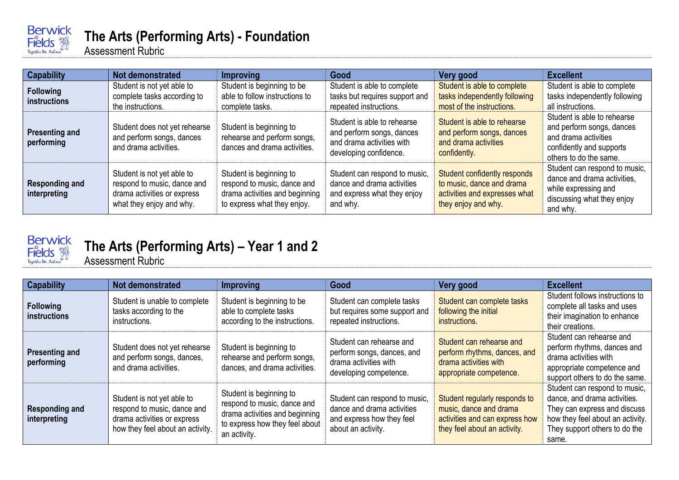

## **The Arts (Performing Arts) - Foundation**

Assessment Rubric

| <b>Capability</b>                       | Not demonstrated                                                                                                     | Improving                                                                                                               | Good                                                                                                            | Very good                                                                                                         | <b>Excellent</b>                                                                                                                       |
|-----------------------------------------|----------------------------------------------------------------------------------------------------------------------|-------------------------------------------------------------------------------------------------------------------------|-----------------------------------------------------------------------------------------------------------------|-------------------------------------------------------------------------------------------------------------------|----------------------------------------------------------------------------------------------------------------------------------------|
| <b>Following</b><br><b>instructions</b> | Student is not yet able to<br>complete tasks according to<br>the instructions.                                       | Student is beginning to be<br>able to follow instructions to<br>complete tasks.                                         | Student is able to complete<br>tasks but requires support and<br>repeated instructions.                         | Student is able to complete<br>tasks independently following<br>most of the instructions.                         | Student is able to complete<br>tasks independently following<br>all instructions.                                                      |
| <b>Presenting and</b><br>performing     | Student does not yet rehearse<br>and perform songs, dances<br>and drama activities.                                  | Student is beginning to<br>rehearse and perform songs,<br>dances and drama activities.                                  | Student is able to rehearse<br>and perform songs, dances<br>and drama activities with<br>developing confidence. | Student is able to rehearse<br>and perform songs, dances<br>and drama activities<br>confidently.                  | Student is able to rehearse<br>and perform songs, dances<br>and drama activities<br>confidently and supports<br>others to do the same. |
| <b>Responding and</b><br>interpreting   | Student is not yet able to<br>respond to music, dance and<br>drama activities or express<br>what they enjoy and why. | Student is beginning to<br>respond to music, dance and<br>drama activities and beginning<br>to express what they enjoy. | Student can respond to music,<br>dance and drama activities<br>and express what they enjoy<br>and why.          | Student confidently responds<br>to music, dance and drama<br>activities and expresses what<br>they enjoy and why. | Student can respond to music,<br>dance and drama activities,<br>while expressing and<br>discussing what they enjoy<br>and why.         |



# **The Arts (Performing Arts) – Year 1 and 2**

| <b>Capability</b>                       | Not demonstrated                                                                                                             | Improving                                                                                                                                  | Good                                                                                                           | Very good                                                                                                                 | <b>Excellent</b>                                                                                                                                                            |
|-----------------------------------------|------------------------------------------------------------------------------------------------------------------------------|--------------------------------------------------------------------------------------------------------------------------------------------|----------------------------------------------------------------------------------------------------------------|---------------------------------------------------------------------------------------------------------------------------|-----------------------------------------------------------------------------------------------------------------------------------------------------------------------------|
| <b>Following</b><br><b>instructions</b> | Student is unable to complete<br>tasks according to the<br>instructions.                                                     | Student is beginning to be<br>able to complete tasks<br>according to the instructions.                                                     | Student can complete tasks<br>but requires some support and<br>repeated instructions.                          | Student can complete tasks<br>following the initial<br>instructions.                                                      | Student follows instructions to<br>complete all tasks and uses<br>their imagination to enhance<br>their creations.                                                          |
| <b>Presenting and</b><br>performing     | Student does not yet rehearse<br>and perform songs, dances,<br>and drama activities.                                         | Student is beginning to<br>rehearse and perform songs,<br>dances, and drama activities.                                                    | Student can rehearse and<br>perform songs, dances, and<br>drama activities with<br>developing competence.      | Student can rehearse and<br>perform rhythms, dances, and<br>drama activities with<br>appropriate competence.              | Student can rehearse and<br>perform rhythms, dances and<br>drama activities with<br>appropriate competence and<br>support others to do the same.                            |
| <b>Responding and</b><br>interpreting   | Student is not yet able to<br>respond to music, dance and<br>drama activities or express<br>how they feel about an activity. | Student is beginning to<br>respond to music, dance and<br>drama activities and beginning<br>to express how they feel about<br>an activity. | Student can respond to music,<br>dance and drama activities<br>and express how they feel<br>about an activity. | Student regularly responds to<br>music, dance and drama<br>activities and can express how<br>they feel about an activity. | Student can respond to music,<br>dance, and drama activities.<br>They can express and discuss<br>how they feel about an activity.<br>They support others to do the<br>same. |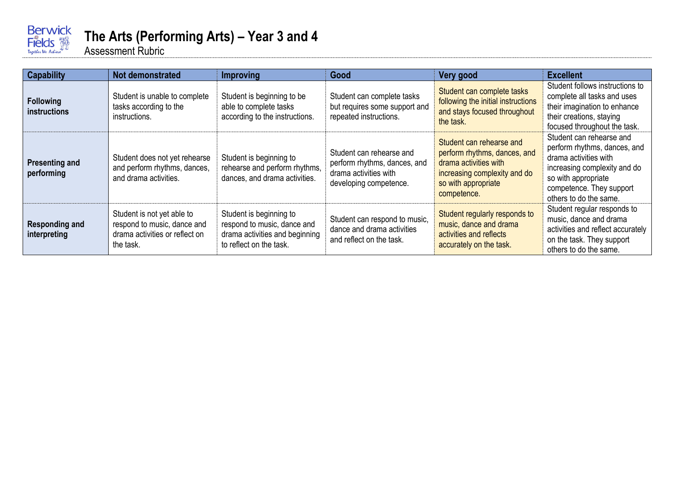

## **The Arts (Performing Arts) – Year 3 and 4**

| <b>Capability</b>                     | Not demonstrated                                                                                         | <b>Improving</b>                                                                                                    | Good                                                                                                        | Very good                                                                                                                                               | <b>Excellent</b>                                                                                                                                                                               |
|---------------------------------------|----------------------------------------------------------------------------------------------------------|---------------------------------------------------------------------------------------------------------------------|-------------------------------------------------------------------------------------------------------------|---------------------------------------------------------------------------------------------------------------------------------------------------------|------------------------------------------------------------------------------------------------------------------------------------------------------------------------------------------------|
| <b>Following</b><br>instructions      | Student is unable to complete<br>tasks according to the<br>instructions.                                 | Student is beginning to be<br>able to complete tasks<br>according to the instructions.                              | Student can complete tasks<br>but requires some support and<br>repeated instructions.                       | Student can complete tasks<br>following the initial instructions<br>and stays focused throughout<br>the task.                                           | Student follows instructions to<br>complete all tasks and uses<br>their imagination to enhance<br>their creations, staying<br>focused throughout the task.                                     |
| <b>Presenting and</b><br>performing   | Student does not yet rehearse<br>and perform rhythms, dances,<br>and drama activities.                   | Student is beginning to<br>rehearse and perform rhythms,<br>dances, and drama activities.                           | Student can rehearse and<br>perform rhythms, dances, and<br>drama activities with<br>developing competence. | Student can rehearse and<br>perform rhythms, dances, and<br>drama activities with<br>increasing complexity and do<br>so with appropriate<br>competence. | Student can rehearse and<br>perform rhythms, dances, and<br>drama activities with<br>increasing complexity and do<br>so with appropriate<br>competence. They support<br>others to do the same. |
| <b>Responding and</b><br>interpreting | Student is not yet able to<br>respond to music, dance and<br>drama activities or reflect on<br>the task. | Student is beginning to<br>respond to music, dance and<br>drama activities and beginning<br>to reflect on the task. | Student can respond to music,<br>dance and drama activities<br>and reflect on the task.                     | Student regularly responds to<br>music, dance and drama<br>activities and reflects<br>accurately on the task.                                           | Student regular responds to<br>music, dance and drama<br>activities and reflect accurately<br>on the task. They support<br>others to do the same.                                              |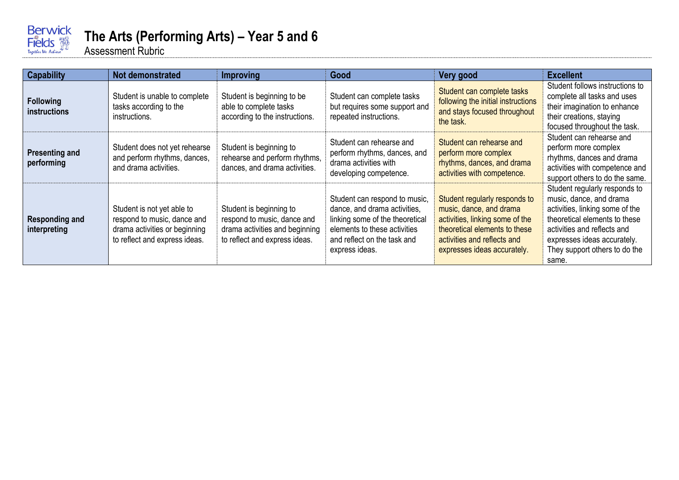

## **The Arts (Performing Arts) – Year 5 and 6**

| <b>Capability</b>                       | <b>Not demonstrated</b>                                                                                                     | <b>Improving</b>                                                                                                          | Good                                                                                                                                                                              | Very good                                                                                                                                                                                  | <b>Excellent</b>                                                                                                                                                                                                                     |
|-----------------------------------------|-----------------------------------------------------------------------------------------------------------------------------|---------------------------------------------------------------------------------------------------------------------------|-----------------------------------------------------------------------------------------------------------------------------------------------------------------------------------|--------------------------------------------------------------------------------------------------------------------------------------------------------------------------------------------|--------------------------------------------------------------------------------------------------------------------------------------------------------------------------------------------------------------------------------------|
| <b>Following</b><br><b>instructions</b> | Student is unable to complete<br>tasks according to the<br>instructions.                                                    | Student is beginning to be<br>able to complete tasks<br>according to the instructions.                                    | Student can complete tasks<br>but requires some support and<br>repeated instructions.                                                                                             | Student can complete tasks<br>following the initial instructions<br>and stays focused throughout<br>the task.                                                                              | Student follows instructions to<br>complete all tasks and uses<br>their imagination to enhance<br>their creations, staying<br>focused throughout the task.                                                                           |
| <b>Presenting and</b><br>performing     | Student does not yet rehearse<br>and perform rhythms, dances,<br>and drama activities.                                      | Student is beginning to<br>rehearse and perform rhythms,<br>dances, and drama activities.                                 | Student can rehearse and<br>perform rhythms, dances, and<br>drama activities with<br>developing competence.                                                                       | Student can rehearse and<br>perform more complex<br>rhythms, dances, and drama<br>activities with competence.                                                                              | Student can rehearse and<br>perform more complex<br>rhythms, dances and drama<br>activities with competence and<br>support others to do the same.                                                                                    |
| <b>Responding and</b><br>interpreting   | Student is not yet able to<br>respond to music, dance and<br>drama activities or beginning<br>to reflect and express ideas. | Student is beginning to<br>respond to music, dance and<br>drama activities and beginning<br>to reflect and express ideas. | Student can respond to music,<br>dance, and drama activities,<br>linking some of the theoretical<br>elements to these activities<br>and reflect on the task and<br>express ideas. | Student regularly responds to<br>music, dance, and drama<br>activities, linking some of the<br>theoretical elements to these<br>activities and reflects and<br>expresses ideas accurately. | Student regularly responds to<br>music, dance, and drama<br>activities, linking some of the<br>theoretical elements to these<br>activities and reflects and<br>expresses ideas accurately.<br>They support others to do the<br>same. |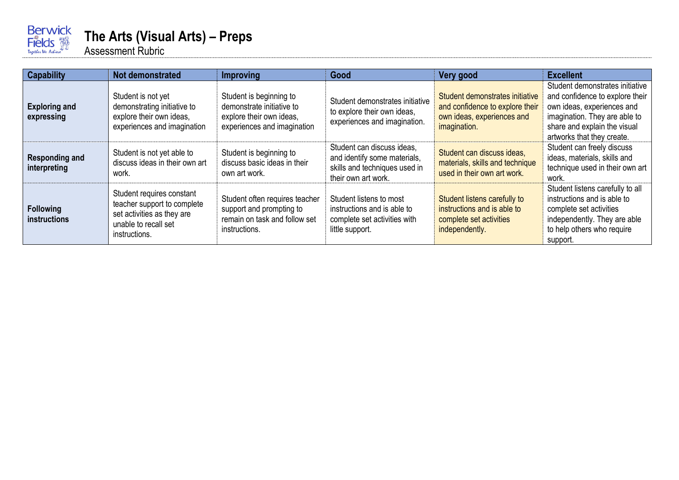

#### **The Arts (Visual Arts) – Preps**

| <b>Capability</b>                     | Not demonstrated                                                                                                                | <b>Improving</b>                                                                                                | Good                                                                                                               | Very good                                                                                                        | <b>Excellent</b>                                                                                                                                                                                |
|---------------------------------------|---------------------------------------------------------------------------------------------------------------------------------|-----------------------------------------------------------------------------------------------------------------|--------------------------------------------------------------------------------------------------------------------|------------------------------------------------------------------------------------------------------------------|-------------------------------------------------------------------------------------------------------------------------------------------------------------------------------------------------|
| <b>Exploring and</b><br>expressing    | Student is not yet<br>demonstrating initiative to<br>explore their own ideas,<br>experiences and imagination                    | Student is beginning to<br>demonstrate initiative to<br>explore their own ideas,<br>experiences and imagination | Student demonstrates initiative<br>to explore their own ideas,<br>experiences and imagination.                     | Student demonstrates initiative<br>and confidence to explore their<br>own ideas, experiences and<br>imagination. | Student demonstrates initiative<br>and confidence to explore their<br>own ideas, experiences and<br>imagination. They are able to<br>share and explain the visual<br>artworks that they create. |
| <b>Responding and</b><br>interpreting | Student is not yet able to<br>discuss ideas in their own art<br>work.                                                           | Student is beginning to<br>discuss basic ideas in their<br>own art work.                                        | Student can discuss ideas,<br>and identify some materials,<br>skills and techniques used in<br>their own art work. | Student can discuss ideas,<br>materials, skills and technique<br>used in their own art work.                     | Student can freely discuss<br>ideas, materials, skills and<br>technique used in their own art<br>work.                                                                                          |
| <b>Following</b><br>instructions      | Student requires constant<br>teacher support to complete<br>set activities as they are<br>unable to recall set<br>instructions. | Student often requires teacher<br>support and prompting to<br>remain on task and follow set<br>instructions.    | Student listens to most<br>instructions and is able to<br>complete set activities with<br>little support.          | Student listens carefully to<br>instructions and is able to<br>complete set activities<br>independently.         | Student listens carefully to all<br>instructions and is able to<br>complete set activities<br>independently. They are able<br>to help others who require<br>support.                            |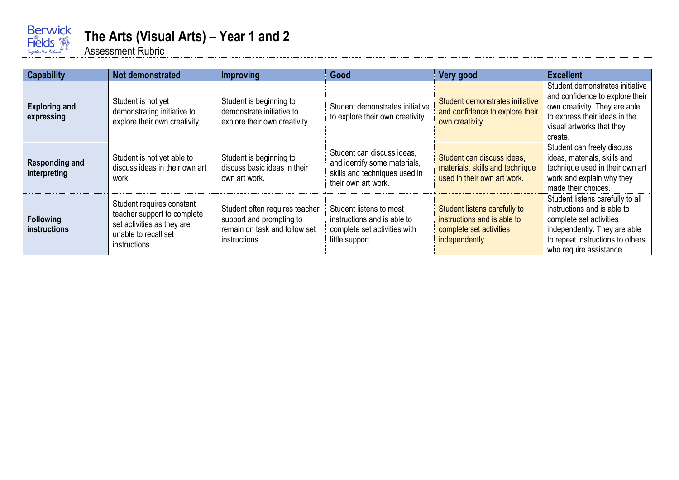

## **The Arts (Visual Arts) – Year 1 and 2**

| <b>Capability</b>                     | Not demonstrated                                                                                                                | <b>Improving</b>                                                                                             | Good                                                                                                               | Very good                                                                                                | <b>Excellent</b>                                                                                                                                                                          |
|---------------------------------------|---------------------------------------------------------------------------------------------------------------------------------|--------------------------------------------------------------------------------------------------------------|--------------------------------------------------------------------------------------------------------------------|----------------------------------------------------------------------------------------------------------|-------------------------------------------------------------------------------------------------------------------------------------------------------------------------------------------|
| <b>Exploring and</b><br>expressing    | Student is not yet<br>demonstrating initiative to<br>explore their own creativity.                                              | Student is beginning to<br>demonstrate initiative to<br>explore their own creativity.                        | Student demonstrates initiative<br>to explore their own creativity.                                                | Student demonstrates initiative<br>and confidence to explore their<br>own creativity.                    | Student demonstrates initiative<br>and confidence to explore their<br>own creativity. They are able<br>to express their ideas in the<br>visual artworks that they<br>create.              |
| <b>Responding and</b><br>interpreting | Student is not yet able to<br>discuss ideas in their own art<br>work.                                                           | Student is beginning to<br>discuss basic ideas in their<br>own art work.                                     | Student can discuss ideas,<br>and identify some materials,<br>skills and techniques used in<br>their own art work. | Student can discuss ideas,<br>materials, skills and technique<br>used in their own art work.             | Student can freely discuss<br>ideas, materials, skills and<br>technique used in their own art<br>work and explain why they<br>made their choices.                                         |
| Following<br>instructions             | Student requires constant<br>teacher support to complete<br>set activities as they are<br>unable to recall set<br>instructions. | Student often requires teacher<br>support and prompting to<br>remain on task and follow set<br>instructions. | Student listens to most<br>instructions and is able to<br>complete set activities with<br>little support.          | Student listens carefully to<br>instructions and is able to<br>complete set activities<br>independently. | Student listens carefully to all<br>instructions and is able to<br>complete set activities<br>independently. They are able<br>to repeat instructions to others<br>who require assistance. |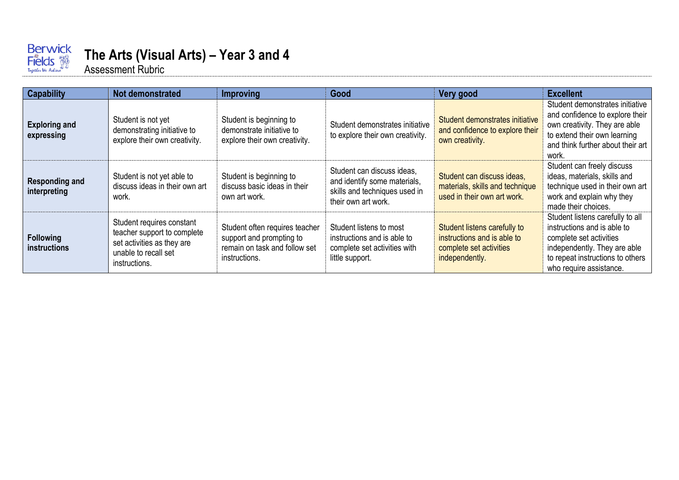

# **The Arts (Visual Arts) – Year 3 and 4**

| <b>Capability</b>                     | <b>Not demonstrated</b>                                                                                                         | <b>Improving</b>                                                                                             | Good                                                                                                               | Very good                                                                                                | <b>Excellent</b>                                                                                                                                                                          |
|---------------------------------------|---------------------------------------------------------------------------------------------------------------------------------|--------------------------------------------------------------------------------------------------------------|--------------------------------------------------------------------------------------------------------------------|----------------------------------------------------------------------------------------------------------|-------------------------------------------------------------------------------------------------------------------------------------------------------------------------------------------|
| <b>Exploring and</b><br>expressing    | Student is not yet<br>demonstrating initiative to<br>explore their own creativity.                                              | Student is beginning to<br>demonstrate initiative to<br>explore their own creativity.                        | Student demonstrates initiative<br>to explore their own creativity.                                                | Student demonstrates initiative<br>and confidence to explore their<br>own creativity.                    | Student demonstrates initiative<br>and confidence to explore their<br>own creativity. They are able<br>to extend their own learning<br>and think further about their art<br>work.         |
| <b>Responding and</b><br>interpreting | Student is not yet able to<br>discuss ideas in their own art<br>work.                                                           | Student is beginning to<br>discuss basic ideas in their<br>own art work.                                     | Student can discuss ideas,<br>and identify some materials,<br>skills and techniques used in<br>their own art work. | Student can discuss ideas.<br>materials, skills and technique<br>used in their own art work.             | Student can freely discuss<br>ideas, materials, skills and<br>technique used in their own art<br>work and explain why they<br>made their choices.                                         |
| <b>Following</b><br>instructions      | Student requires constant<br>teacher support to complete<br>set activities as they are<br>unable to recall set<br>instructions. | Student often requires teacher<br>support and prompting to<br>remain on task and follow set<br>instructions. | Student listens to most<br>instructions and is able to<br>complete set activities with<br>little support.          | Student listens carefully to<br>instructions and is able to<br>complete set activities<br>independently. | Student listens carefully to all<br>instructions and is able to<br>complete set activities<br>independently. They are able<br>to repeat instructions to others<br>who require assistance. |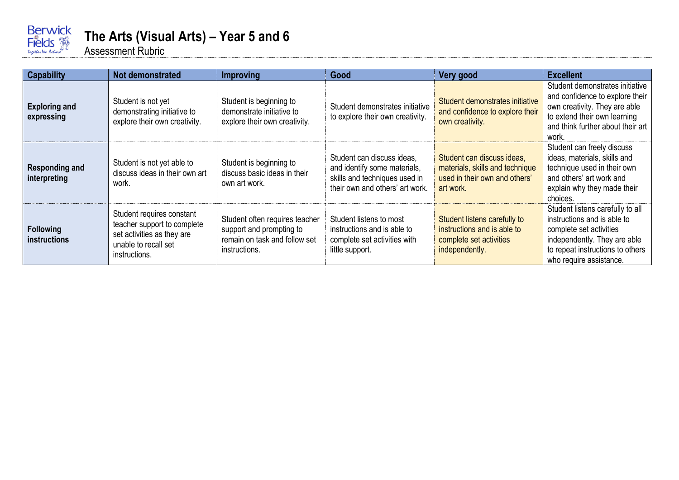

### **The Arts (Visual Arts) – Year 5 and 6**

| <b>Capability</b>                       | <b>Not demonstrated</b>                                                                                                         | <b>Improving</b>                                                                                             | Good                                                                                                                           | Very good                                                                                                   | <b>Excellent</b>                                                                                                                                                                          |
|-----------------------------------------|---------------------------------------------------------------------------------------------------------------------------------|--------------------------------------------------------------------------------------------------------------|--------------------------------------------------------------------------------------------------------------------------------|-------------------------------------------------------------------------------------------------------------|-------------------------------------------------------------------------------------------------------------------------------------------------------------------------------------------|
| <b>Exploring and</b><br>expressing      | Student is not yet<br>demonstrating initiative to<br>explore their own creativity.                                              | Student is beginning to<br>demonstrate initiative to<br>explore their own creativity.                        | Student demonstrates initiative<br>to explore their own creativity.                                                            | Student demonstrates initiative<br>and confidence to explore their<br>own creativity.                       | Student demonstrates initiative<br>and confidence to explore their<br>own creativity. They are able<br>to extend their own learning<br>and think further about their art<br>work.         |
| <b>Responding and</b><br>interpreting   | Student is not yet able to<br>discuss ideas in their own art<br>work.                                                           | Student is beginning to<br>discuss basic ideas in their<br>own art work.                                     | Student can discuss ideas,<br>and identify some materials,<br>skills and techniques used in<br>their own and others' art work. | Student can discuss ideas,<br>materials, skills and technique<br>used in their own and others'<br>art work. | Student can freely discuss<br>ideas, materials, skills and<br>technique used in their own<br>and others' art work and<br>explain why they made their<br>choices.                          |
| <b>Following</b><br><b>instructions</b> | Student requires constant<br>teacher support to complete<br>set activities as they are<br>unable to recall set<br>instructions. | Student often requires teacher<br>support and prompting to<br>remain on task and follow set<br>instructions. | Student listens to most<br>instructions and is able to<br>complete set activities with<br>little support.                      | Student listens carefully to<br>instructions and is able to<br>complete set activities<br>independently.    | Student listens carefully to all<br>instructions and is able to<br>complete set activities<br>independently. They are able<br>to repeat instructions to others<br>who require assistance. |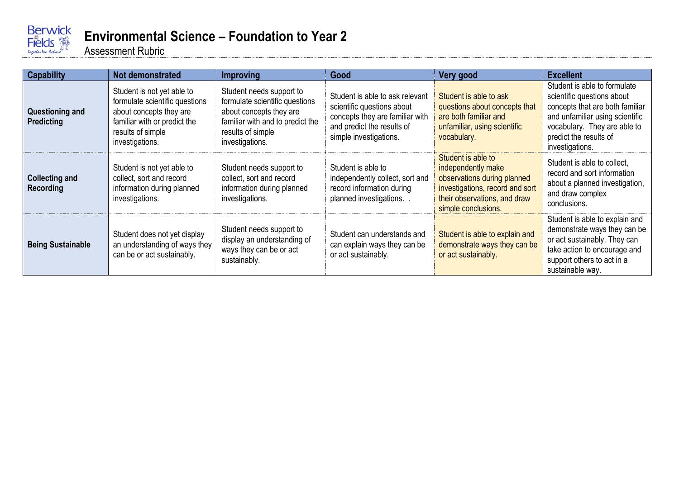

# **Environmental Science – Foundation to Year 2**

| <b>Capability</b>                         | Not demonstrated                                                                                                                                                | <b>Improving</b>                                                                                                                                                  | Good                                                                                                                                                     | Very good                                                                                                                                                         | <b>Excellent</b>                                                                                                                                                                                              |
|-------------------------------------------|-----------------------------------------------------------------------------------------------------------------------------------------------------------------|-------------------------------------------------------------------------------------------------------------------------------------------------------------------|----------------------------------------------------------------------------------------------------------------------------------------------------------|-------------------------------------------------------------------------------------------------------------------------------------------------------------------|---------------------------------------------------------------------------------------------------------------------------------------------------------------------------------------------------------------|
| Questioning and<br>Predicting             | Student is not yet able to<br>formulate scientific questions<br>about concepts they are<br>familiar with or predict the<br>results of simple<br>investigations. | Student needs support to<br>formulate scientific questions<br>about concepts they are<br>familiar with and to predict the<br>results of simple<br>investigations. | Student is able to ask relevant<br>scientific questions about<br>concepts they are familiar with<br>and predict the results of<br>simple investigations. | Student is able to ask<br>questions about concepts that<br>are both familiar and<br>unfamiliar, using scientific<br>vocabulary.                                   | Student is able to formulate<br>scientific questions about<br>concepts that are both familiar<br>and unfamiliar using scientific<br>vocabulary. They are able to<br>predict the results of<br>investigations. |
| <b>Collecting and</b><br><b>Recording</b> | Student is not yet able to<br>collect, sort and record<br>information during planned<br>investigations.                                                         | Student needs support to<br>collect, sort and record<br>information during planned<br>investigations.                                                             | Student is able to<br>independently collect, sort and<br>record information during<br>planned investigations.                                            | Student is able to<br>independently make<br>observations during planned<br>investigations, record and sort<br>their observations, and draw<br>simple conclusions. | Student is able to collect,<br>record and sort information<br>about a planned investigation,<br>and draw complex<br>conclusions.                                                                              |
| <b>Being Sustainable</b>                  | Student does not yet display<br>an understanding of ways they<br>can be or act sustainably.                                                                     | Student needs support to<br>display an understanding of<br>ways they can be or act<br>sustainably.                                                                | Student can understands and<br>can explain ways they can be<br>or act sustainably.                                                                       | Student is able to explain and<br>demonstrate ways they can be<br>or act sustainably.                                                                             | Student is able to explain and<br>demonstrate ways they can be<br>or act sustainably. They can<br>take action to encourage and<br>support others to act in a<br>sustainable way.                              |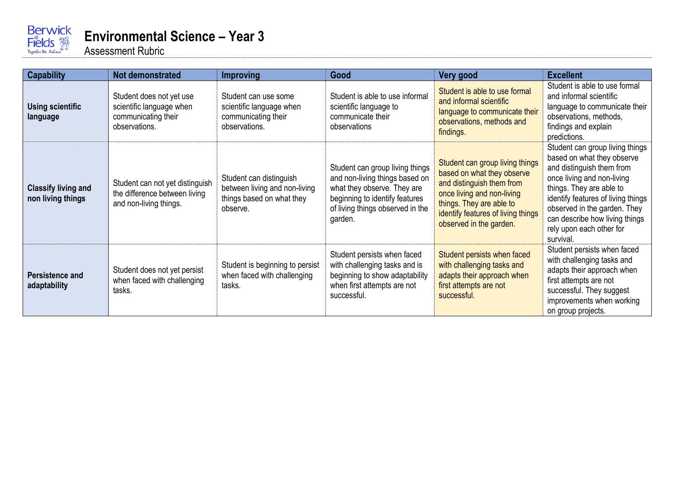

| <b>Capability</b>                               | <b>Not demonstrated</b>                                                                      | <b>Improving</b>                                                                                  | Good                                                                                                                                                                              | Very good                                                                                                                                                                                                             | <b>Excellent</b>                                                                                                                                                                                                                                                                                      |
|-------------------------------------------------|----------------------------------------------------------------------------------------------|---------------------------------------------------------------------------------------------------|-----------------------------------------------------------------------------------------------------------------------------------------------------------------------------------|-----------------------------------------------------------------------------------------------------------------------------------------------------------------------------------------------------------------------|-------------------------------------------------------------------------------------------------------------------------------------------------------------------------------------------------------------------------------------------------------------------------------------------------------|
| <b>Using scientific</b><br>language             | Student does not yet use<br>scientific language when<br>communicating their<br>observations. | Student can use some<br>scientific language when<br>communicating their<br>observations.          | Student is able to use informal<br>scientific language to<br>communicate their<br>observations                                                                                    | Student is able to use formal<br>and informal scientific<br>language to communicate their<br>observations, methods and<br>findings.                                                                                   | Student is able to use formal<br>and informal scientific<br>language to communicate their<br>observations, methods,<br>findings and explain<br>predictions.                                                                                                                                           |
| <b>Classify living and</b><br>non living things | Student can not yet distinguish<br>the difference between living<br>and non-living things.   | Student can distinguish<br>between living and non-living<br>things based on what they<br>observe. | Student can group living things<br>and non-living things based on<br>what they observe. They are<br>beginning to identify features<br>of living things observed in the<br>garden. | Student can group living things<br>based on what they observe<br>and distinguish them from<br>once living and non-living<br>things. They are able to<br>identify features of living things<br>observed in the garden. | Student can group living things<br>based on what they observe<br>and distinguish them from<br>once living and non-living<br>things. They are able to<br>identify features of living things<br>observed in the garden. They<br>can describe how living things<br>rely upon each other for<br>survival. |
| Persistence and<br>adaptability                 | Student does not yet persist<br>when faced with challenging<br>tasks.                        | Student is beginning to persist<br>when faced with challenging<br>tasks.                          | Student persists when faced<br>with challenging tasks and is<br>beginning to show adaptability<br>when first attempts are not<br>successful.                                      | Student persists when faced<br>with challenging tasks and<br>adapts their approach when<br>first attempts are not<br>successful.                                                                                      | Student persists when faced<br>with challenging tasks and<br>adapts their approach when<br>first attempts are not<br>successful. They suggest<br>improvements when working<br>on group projects.                                                                                                      |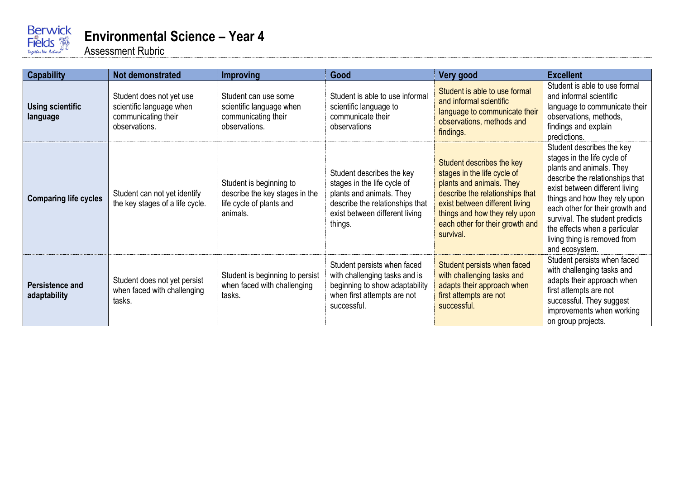

| <b>Capability</b>                   | <b>Not demonstrated</b>                                                                      | <b>Improving</b>                                                                                  | Good                                                                                                                                                                 | Very good                                                                                                                                                                                                                                  | <b>Excellent</b>                                                                                                                                                                                                                                                                                                                                   |
|-------------------------------------|----------------------------------------------------------------------------------------------|---------------------------------------------------------------------------------------------------|----------------------------------------------------------------------------------------------------------------------------------------------------------------------|--------------------------------------------------------------------------------------------------------------------------------------------------------------------------------------------------------------------------------------------|----------------------------------------------------------------------------------------------------------------------------------------------------------------------------------------------------------------------------------------------------------------------------------------------------------------------------------------------------|
| <b>Using scientific</b><br>language | Student does not yet use<br>scientific language when<br>communicating their<br>observations. | Student can use some<br>scientific language when<br>communicating their<br>observations.          | Student is able to use informal<br>scientific language to<br>communicate their<br>observations                                                                       | Student is able to use formal<br>and informal scientific<br>language to communicate their<br>observations, methods and<br>findings.                                                                                                        | Student is able to use formal<br>and informal scientific<br>language to communicate their<br>observations, methods,<br>findings and explain<br>predictions.                                                                                                                                                                                        |
| <b>Comparing life cycles</b>        | Student can not yet identify<br>the key stages of a life cycle.                              | Student is beginning to<br>describe the key stages in the<br>life cycle of plants and<br>animals. | Student describes the key<br>stages in the life cycle of<br>plants and animals. They<br>describe the relationships that<br>exist between different living<br>things. | Student describes the key<br>stages in the life cycle of<br>plants and animals. They<br>describe the relationships that<br>exist between different living<br>things and how they rely upon<br>each other for their growth and<br>survival. | Student describes the key<br>stages in the life cycle of<br>plants and animals. They<br>describe the relationships that<br>exist between different living<br>things and how they rely upon<br>each other for their growth and<br>survival. The student predicts<br>the effects when a particular<br>living thing is removed from<br>and ecosystem. |
| Persistence and<br>adaptability     | Student does not yet persist<br>when faced with challenging<br>tasks.                        | Student is beginning to persist<br>when faced with challenging<br>tasks.                          | Student persists when faced<br>with challenging tasks and is<br>beginning to show adaptability<br>when first attempts are not<br>successful.                         | Student persists when faced<br>with challenging tasks and<br>adapts their approach when<br>first attempts are not<br>successful.                                                                                                           | Student persists when faced<br>with challenging tasks and<br>adapts their approach when<br>first attempts are not<br>successful. They suggest<br>improvements when working<br>on group projects.                                                                                                                                                   |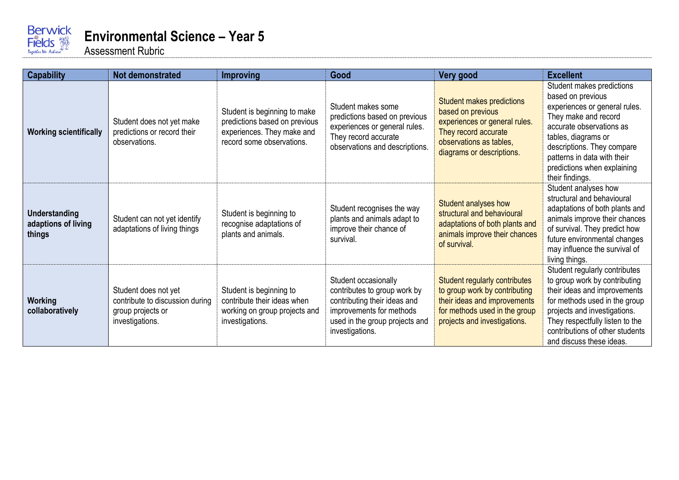

| <b>Capability</b>                              | Not demonstrated                                                                                | <b>Improving</b>                                                                                                         | Good                                                                                                                                                                  | Very good                                                                                                                                                              | <b>Excellent</b>                                                                                                                                                                                                                                                          |
|------------------------------------------------|-------------------------------------------------------------------------------------------------|--------------------------------------------------------------------------------------------------------------------------|-----------------------------------------------------------------------------------------------------------------------------------------------------------------------|------------------------------------------------------------------------------------------------------------------------------------------------------------------------|---------------------------------------------------------------------------------------------------------------------------------------------------------------------------------------------------------------------------------------------------------------------------|
| <b>Working scientifically</b>                  | Student does not yet make<br>predictions or record their<br>observations.                       | Student is beginning to make<br>predictions based on previous<br>experiences. They make and<br>record some observations. | Student makes some<br>predictions based on previous<br>experiences or general rules.<br>They record accurate<br>observations and descriptions.                        | Student makes predictions<br>based on previous<br>experiences or general rules.<br>They record accurate<br>observations as tables,<br>diagrams or descriptions.        | Student makes predictions<br>based on previous<br>experiences or general rules.<br>They make and record<br>accurate observations as<br>tables, diagrams or<br>descriptions. They compare<br>patterns in data with their<br>predictions when explaining<br>their findings. |
| Understanding<br>adaptions of living<br>things | Student can not yet identify<br>adaptations of living things                                    | Student is beginning to<br>recognise adaptations of<br>plants and animals.                                               | Student recognises the way<br>plants and animals adapt to<br>improve their chance of<br>survival.                                                                     | Student analyses how<br>structural and behavioural<br>adaptations of both plants and<br>animals improve their chances<br>of survival.                                  | Student analyses how<br>structural and behavioural<br>adaptations of both plants and<br>animals improve their chances<br>of survival. They predict how<br>future environmental changes<br>may influence the survival of<br>living things.                                 |
| Working<br>collaboratively                     | Student does not yet<br>contribute to discussion during<br>group projects or<br>investigations. | Student is beginning to<br>contribute their ideas when<br>working on group projects and<br>investigations.               | Student occasionally<br>contributes to group work by<br>contributing their ideas and<br>improvements for methods<br>used in the group projects and<br>investigations. | <b>Student regularly contributes</b><br>to group work by contributing<br>their ideas and improvements<br>for methods used in the group<br>projects and investigations. | Student regularly contributes<br>to group work by contributing<br>their ideas and improvements<br>for methods used in the group<br>projects and investigations.<br>They respectfully listen to the<br>contributions of other students<br>and discuss these ideas.         |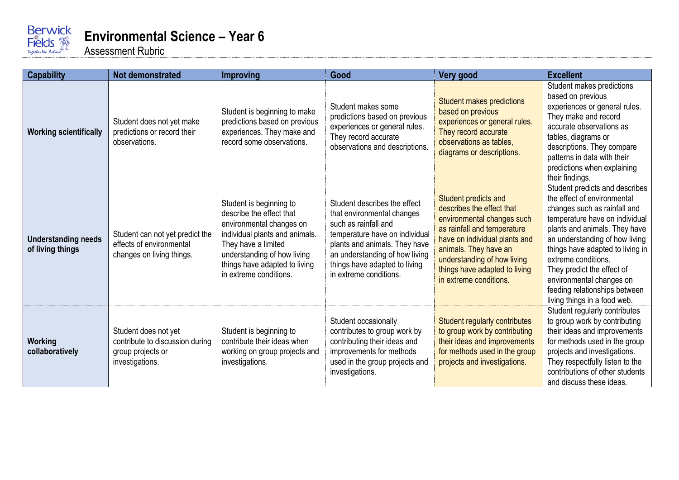

| <b>Capability</b>                              | <b>Not demonstrated</b>                                                                         | <b>Improving</b>                                                                                                                                                                                                                   | Good                                                                                                                                                                                                                                               | Very good                                                                                                                                                                                                                                                          | <b>Excellent</b>                                                                                                                                                                                                                                                                                                                                                                         |
|------------------------------------------------|-------------------------------------------------------------------------------------------------|------------------------------------------------------------------------------------------------------------------------------------------------------------------------------------------------------------------------------------|----------------------------------------------------------------------------------------------------------------------------------------------------------------------------------------------------------------------------------------------------|--------------------------------------------------------------------------------------------------------------------------------------------------------------------------------------------------------------------------------------------------------------------|------------------------------------------------------------------------------------------------------------------------------------------------------------------------------------------------------------------------------------------------------------------------------------------------------------------------------------------------------------------------------------------|
| <b>Working scientifically</b>                  | Student does not yet make<br>predictions or record their<br>observations.                       | Student is beginning to make<br>predictions based on previous<br>experiences. They make and<br>record some observations.                                                                                                           | Student makes some<br>predictions based on previous<br>experiences or general rules.<br>They record accurate<br>observations and descriptions.                                                                                                     | Student makes predictions<br>based on previous<br>experiences or general rules.<br>They record accurate<br>observations as tables,<br>diagrams or descriptions.                                                                                                    | Student makes predictions<br>based on previous<br>experiences or general rules.<br>They make and record<br>accurate observations as<br>tables, diagrams or<br>descriptions. They compare<br>patterns in data with their<br>predictions when explaining<br>their findings.                                                                                                                |
| <b>Understanding needs</b><br>of living things | Student can not yet predict the<br>effects of environmental<br>changes on living things.        | Student is beginning to<br>describe the effect that<br>environmental changes on<br>individual plants and animals.<br>They have a limited<br>understanding of how living<br>things have adapted to living<br>in extreme conditions. | Student describes the effect<br>that environmental changes<br>such as rainfall and<br>temperature have on individual<br>plants and animals. They have<br>an understanding of how living<br>things have adapted to living<br>in extreme conditions. | Student predicts and<br>describes the effect that<br>environmental changes such<br>as rainfall and temperature<br>have on individual plants and<br>animals. They have an<br>understanding of how living<br>things have adapted to living<br>in extreme conditions. | Student predicts and describes<br>the effect of environmental<br>changes such as rainfall and<br>temperature have on individual<br>plants and animals. They have<br>an understanding of how living<br>things have adapted to living in<br>extreme conditions.<br>They predict the effect of<br>environmental changes on<br>feeding relationships between<br>living things in a food web. |
| Working<br>collaboratively                     | Student does not yet<br>contribute to discussion during<br>group projects or<br>investigations. | Student is beginning to<br>contribute their ideas when<br>working on group projects and<br>investigations.                                                                                                                         | Student occasionally<br>contributes to group work by<br>contributing their ideas and<br>improvements for methods<br>used in the group projects and<br>investigations.                                                                              | Student regularly contributes<br>to group work by contributing<br>their ideas and improvements<br>for methods used in the group<br>projects and investigations.                                                                                                    | Student regularly contributes<br>to group work by contributing<br>their ideas and improvements<br>for methods used in the group<br>projects and investigations.<br>They respectfully listen to the<br>contributions of other students<br>and discuss these ideas.                                                                                                                        |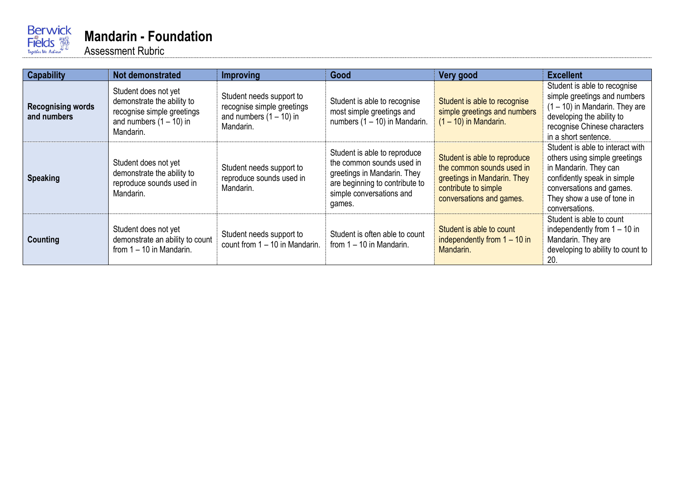

| <b>Capability</b>                       | Not demonstrated                                                                                                           | <b>Improving</b>                                                                                 | Good                                                                                                                                                             | Very good                                                                                                                                    | <b>Excellent</b>                                                                                                                                                                                      |
|-----------------------------------------|----------------------------------------------------------------------------------------------------------------------------|--------------------------------------------------------------------------------------------------|------------------------------------------------------------------------------------------------------------------------------------------------------------------|----------------------------------------------------------------------------------------------------------------------------------------------|-------------------------------------------------------------------------------------------------------------------------------------------------------------------------------------------------------|
| <b>Recognising words</b><br>and numbers | Student does not yet<br>demonstrate the ability to<br>recognise simple greetings<br>and numbers $(1 - 10)$ in<br>Mandarin. | Student needs support to<br>recognise simple greetings<br>and numbers $(1 - 10)$ in<br>Mandarin. | Student is able to recognise<br>most simple greetings and<br>numbers $(1 - 10)$ in Mandarin.                                                                     | Student is able to recognise<br>simple greetings and numbers<br>$(1 - 10)$ in Mandarin.                                                      | Student is able to recognise<br>simple greetings and numbers<br>$(1 - 10)$ in Mandarin. They are<br>developing the ability to<br>recognise Chinese characters<br>in a short sentence.                 |
| <b>Speaking</b>                         | Student does not yet<br>demonstrate the ability to<br>reproduce sounds used in<br>Mandarin.                                | Student needs support to<br>reproduce sounds used in<br>Mandarin.                                | Student is able to reproduce<br>the common sounds used in<br>greetings in Mandarin. They<br>are beginning to contribute to<br>simple conversations and<br>games. | Student is able to reproduce<br>the common sounds used in<br>greetings in Mandarin. They<br>contribute to simple<br>conversations and games. | Student is able to interact with<br>others using simple greetings<br>in Mandarin. They can<br>confidently speak in simple<br>conversations and games.<br>They show a use of tone in<br>conversations. |
| Counting                                | Student does not yet<br>demonstrate an ability to count<br>from $1 - 10$ in Mandarin.                                      | Student needs support to<br>count from $1 - 10$ in Mandarin.                                     | Student is often able to count<br>from $1 - 10$ in Mandarin.                                                                                                     | Student is able to count<br>independently from $1 - 10$ in<br>Mandarin.                                                                      | Student is able to count<br>independently from $1 - 10$ in<br>Mandarin. They are<br>developing to ability to count to<br>20.                                                                          |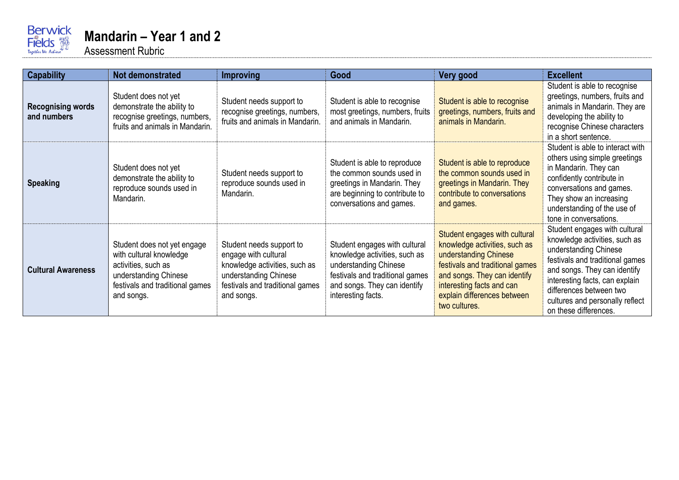

| <b>Capability</b>                       | Not demonstrated                                                                                                                                        | <b>Improving</b>                                                                                                                                            | Good                                                                                                                                                                             | Very good                                                                                                                                                                                                                               | <b>Excellent</b>                                                                                                                                                                                                                                                                    |
|-----------------------------------------|---------------------------------------------------------------------------------------------------------------------------------------------------------|-------------------------------------------------------------------------------------------------------------------------------------------------------------|----------------------------------------------------------------------------------------------------------------------------------------------------------------------------------|-----------------------------------------------------------------------------------------------------------------------------------------------------------------------------------------------------------------------------------------|-------------------------------------------------------------------------------------------------------------------------------------------------------------------------------------------------------------------------------------------------------------------------------------|
| <b>Recognising words</b><br>and numbers | Student does not yet<br>demonstrate the ability to<br>recognise greetings, numbers,<br>fruits and animals in Mandarin.                                  | Student needs support to<br>recognise greetings, numbers,<br>fruits and animals in Mandarin.                                                                | Student is able to recognise<br>most greetings, numbers, fruits<br>and animals in Mandarin.                                                                                      | Student is able to recognise<br>greetings, numbers, fruits and<br>animals in Mandarin.                                                                                                                                                  | Student is able to recognise<br>greetings, numbers, fruits and<br>animals in Mandarin. They are<br>developing the ability to<br>recognise Chinese characters<br>in a short sentence.                                                                                                |
| <b>Speaking</b>                         | Student does not yet<br>demonstrate the ability to<br>reproduce sounds used in<br>Mandarin.                                                             | Student needs support to<br>reproduce sounds used in<br>Mandarin.                                                                                           | Student is able to reproduce<br>the common sounds used in<br>greetings in Mandarin. They<br>are beginning to contribute to<br>conversations and games.                           | Student is able to reproduce<br>the common sounds used in<br>greetings in Mandarin. They<br>contribute to conversations<br>and games.                                                                                                   | Student is able to interact with<br>others using simple greetings<br>in Mandarin. They can<br>confidently contribute in<br>conversations and games.<br>They show an increasing<br>understanding of the use of<br>tone in conversations.                                             |
| <b>Cultural Awareness</b>               | Student does not yet engage<br>with cultural knowledge<br>activities, such as<br>understanding Chinese<br>festivals and traditional games<br>and songs. | Student needs support to<br>engage with cultural<br>knowledge activities, such as<br>understanding Chinese<br>festivals and traditional games<br>and songs. | Student engages with cultural<br>knowledge activities, such as<br>understanding Chinese<br>festivals and traditional games<br>and songs. They can identify<br>interesting facts. | Student engages with cultural<br>knowledge activities, such as<br>understanding Chinese<br>festivals and traditional games<br>and songs. They can identify<br>interesting facts and can<br>explain differences between<br>two cultures. | Student engages with cultural<br>knowledge activities, such as<br>understanding Chinese<br>festivals and traditional games<br>and songs. They can identify<br>interesting facts, can explain<br>differences between two<br>cultures and personally reflect<br>on these differences. |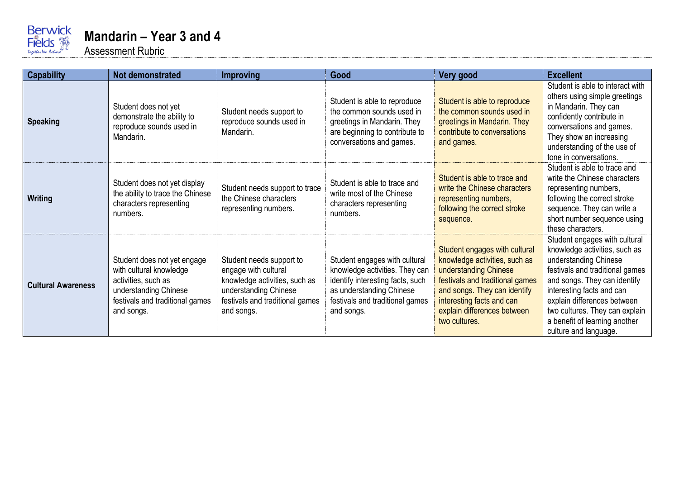

| <b>Capability</b>         | Not demonstrated                                                                                                                                        | <b>Improving</b>                                                                                                                                            | Good                                                                                                                                                                             | Very good                                                                                                                                                                                                                               | <b>Excellent</b>                                                                                                                                                                                                                                                                                                   |
|---------------------------|---------------------------------------------------------------------------------------------------------------------------------------------------------|-------------------------------------------------------------------------------------------------------------------------------------------------------------|----------------------------------------------------------------------------------------------------------------------------------------------------------------------------------|-----------------------------------------------------------------------------------------------------------------------------------------------------------------------------------------------------------------------------------------|--------------------------------------------------------------------------------------------------------------------------------------------------------------------------------------------------------------------------------------------------------------------------------------------------------------------|
| <b>Speaking</b>           | Student does not yet<br>demonstrate the ability to<br>reproduce sounds used in<br>Mandarin.                                                             | Student needs support to<br>reproduce sounds used in<br>Mandarin.                                                                                           | Student is able to reproduce<br>the common sounds used in<br>greetings in Mandarin. They<br>are beginning to contribute to<br>conversations and games.                           | Student is able to reproduce<br>the common sounds used in<br>greetings in Mandarin. They<br>contribute to conversations<br>and games.                                                                                                   | Student is able to interact with<br>others using simple greetings<br>in Mandarin. They can<br>confidently contribute in<br>conversations and games.<br>They show an increasing<br>understanding of the use of<br>tone in conversations.                                                                            |
| <b>Writing</b>            | Student does not yet display<br>the ability to trace the Chinese<br>characters representing<br>numbers.                                                 | Student needs support to trace<br>the Chinese characters<br>representing numbers.                                                                           | Student is able to trace and<br>write most of the Chinese<br>characters representing<br>numbers.                                                                                 | Student is able to trace and<br>write the Chinese characters<br>representing numbers,<br>following the correct stroke<br>sequence.                                                                                                      | Student is able to trace and<br>write the Chinese characters<br>representing numbers,<br>following the correct stroke<br>sequence. They can write a<br>short number sequence using<br>these characters.                                                                                                            |
| <b>Cultural Awareness</b> | Student does not yet engage<br>with cultural knowledge<br>activities, such as<br>understanding Chinese<br>festivals and traditional games<br>and songs. | Student needs support to<br>engage with cultural<br>knowledge activities, such as<br>understanding Chinese<br>festivals and traditional games<br>and songs. | Student engages with cultural<br>knowledge activities. They can<br>identify interesting facts, such<br>as understanding Chinese<br>festivals and traditional games<br>and songs. | Student engages with cultural<br>knowledge activities, such as<br>understanding Chinese<br>festivals and traditional games<br>and songs. They can identify<br>interesting facts and can<br>explain differences between<br>two cultures. | Student engages with cultural<br>knowledge activities, such as<br>understanding Chinese<br>festivals and traditional games<br>and songs. They can identify<br>interesting facts and can<br>explain differences between<br>two cultures. They can explain<br>a benefit of learning another<br>culture and language. |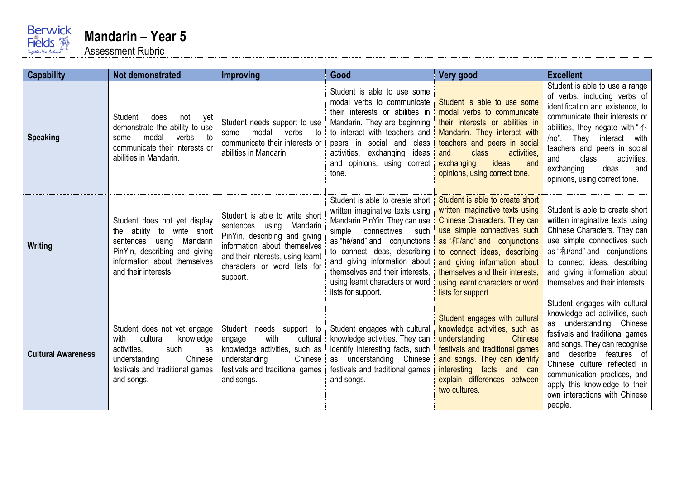

| <b>Capability</b>         | <b>Not demonstrated</b>                                                                                                                                                               | Improving                                                                                                                                                                                                    | Good                                                                                                                                                                                                                                                                                                                       | Very good                                                                                                                                                                                                                                                                                                                    | <b>Excellent</b>                                                                                                                                                                                                                                                                                                                          |
|---------------------------|---------------------------------------------------------------------------------------------------------------------------------------------------------------------------------------|--------------------------------------------------------------------------------------------------------------------------------------------------------------------------------------------------------------|----------------------------------------------------------------------------------------------------------------------------------------------------------------------------------------------------------------------------------------------------------------------------------------------------------------------------|------------------------------------------------------------------------------------------------------------------------------------------------------------------------------------------------------------------------------------------------------------------------------------------------------------------------------|-------------------------------------------------------------------------------------------------------------------------------------------------------------------------------------------------------------------------------------------------------------------------------------------------------------------------------------------|
| <b>Speaking</b>           | Student<br>does<br>not<br>yet<br>demonstrate the ability to use<br>modal<br>verbs<br>to<br>some<br>communicate their interests or<br>abilities in Mandarin.                           | Student needs support to use<br>verbs<br>modal<br>to<br>some<br>communicate their interests or<br>abilities in Mandarin.                                                                                     | Student is able to use some<br>modal verbs to communicate<br>their interests or abilities in<br>Mandarin. They are beginning<br>to interact with teachers and<br>peers in social and class<br>activities, exchanging<br>ideas<br>and opinions, using correct<br>tone.                                                      | Student is able to use some<br>modal verbs to communicate<br>their interests or abilities in<br>Mandarin. They interact with<br>teachers and peers in social<br>class<br>activities,<br>and<br>ideas<br>exchanging<br>and<br>opinions, using correct tone.                                                                   | Student is able to use a range<br>of verbs, including verbs of<br>identification and existence, to<br>communicate their interests or<br>abilities, they negate with " $\not$<br>They interact with<br>/no".<br>teachers and peers in social<br>class<br>activities,<br>and<br>ideas<br>exchanging<br>and<br>opinions, using correct tone. |
| Writing                   | Student does not yet display<br>the ability to write short<br>using<br>Mandarin<br>sentences<br>PinYin, describing and giving<br>information about themselves<br>and their interests. | Student is able to write short<br>sentences using Mandarin<br>PinYin, describing and giving<br>information about themselves<br>and their interests, using learnt<br>characters or word lists for<br>support. | Student is able to create short<br>written imaginative texts using<br>Mandarin PinYin. They can use<br>simple connectives such<br>as "hé/and" and conjunctions<br>to connect ideas, describing<br>and giving information about<br>themselves and their interests,<br>using learnt characters or word<br>lists for support. | Student is able to create short<br>written imaginative texts using<br>Chinese Characters. They can<br>use simple connectives such<br>as "和/and" and conjunctions<br>to connect ideas, describing<br>and giving information about<br>themselves and their interests,<br>using learnt characters or word<br>lists for support. | Student is able to create short<br>written imaginative texts using<br>Chinese Characters. They can<br>use simple connectives such<br>as "和/and" and conjunctions<br>to connect ideas, describing<br>and giving information about<br>themselves and their interests.                                                                       |
| <b>Cultural Awareness</b> | Student does not yet engage<br>cultural<br>with<br>knowledge<br>activities.<br>such<br>as<br>Chinese<br>understanding<br>festivals and traditional games<br>and songs.                | Student needs support to<br>with<br>cultural<br>engage<br>knowledge activities, such as<br>Chinese<br>understanding<br>festivals and traditional games<br>and songs.                                         | Student engages with cultural<br>knowledge activities. They can<br>identify interesting facts, such<br>as understanding Chinese<br>festivals and traditional games<br>and songs.                                                                                                                                           | Student engages with cultural<br>knowledge activities, such as<br>understanding<br>Chinese<br>festivals and traditional games<br>and songs. They can identify<br>interesting facts and can<br>explain differences between<br>two cultures.                                                                                   | Student engages with cultural<br>knowledge act activities, such<br>as understanding Chinese<br>festivals and traditional games<br>and songs. They can recognise<br>and describe features of<br>Chinese culture reflected in<br>communication practices, and<br>apply this knowledge to their<br>own interactions with Chinese<br>people.  |